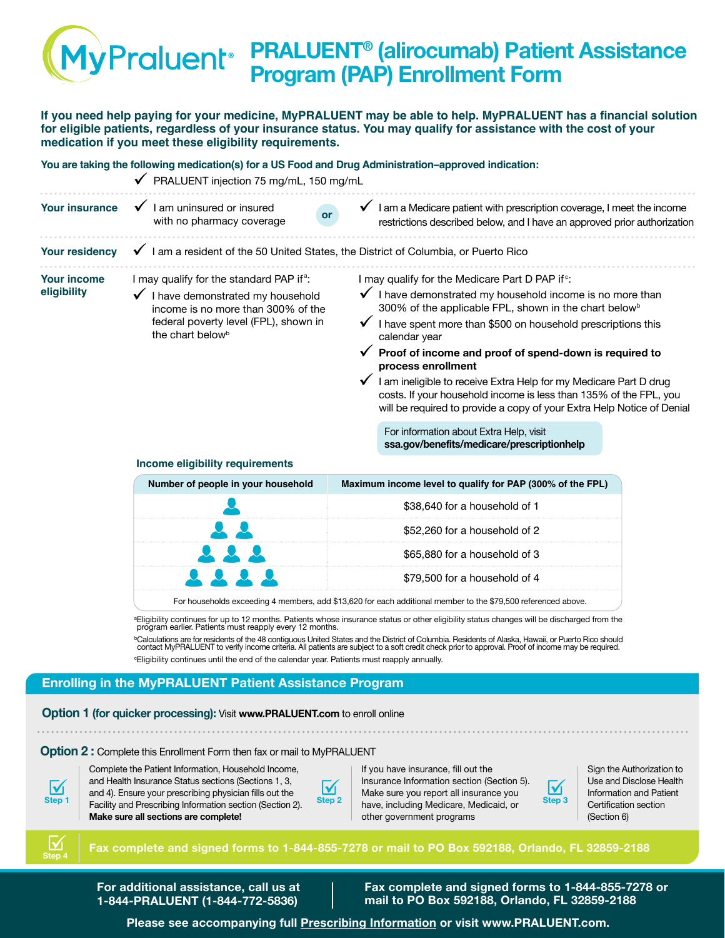# **PRALUENT® (alirocumab) Patient Assistance Program (PAP) Enrollment Form**

**If you need help paying for your medicine, MyPRALUENT may be able to help. MyPRALUENT has a financial solution for eligible patients, regardless of your insurance status. You may qualify for assistance with the cost of your medication if you meet these eligibility requirements.**

|                                                                                                                                                                                                                                              | You are taking the following medication(s) for a US Food and Drug Administration–approved indication:<br>◆ PRALUENT injection 75 mg/mL, 150 mg/mL |                                                                                                                                                                                                                                                                                                                                                                                                                                                                                                                                                                                  |  |
|----------------------------------------------------------------------------------------------------------------------------------------------------------------------------------------------------------------------------------------------|---------------------------------------------------------------------------------------------------------------------------------------------------|----------------------------------------------------------------------------------------------------------------------------------------------------------------------------------------------------------------------------------------------------------------------------------------------------------------------------------------------------------------------------------------------------------------------------------------------------------------------------------------------------------------------------------------------------------------------------------|--|
| <b>Your insurance</b>                                                                                                                                                                                                                        | I am uninsured or insured<br>$\checkmark$<br>or<br>with no pharmacy coverage                                                                      | $\checkmark$ I am a Medicare patient with prescription coverage, I meet the income<br>restrictions described below, and I have an approved prior authorization                                                                                                                                                                                                                                                                                                                                                                                                                   |  |
| <b>Your residency</b>                                                                                                                                                                                                                        | I am a resident of the 50 United States, the District of Columbia, or Puerto Rico                                                                 |                                                                                                                                                                                                                                                                                                                                                                                                                                                                                                                                                                                  |  |
| I may qualify for the standard PAP if <sup>a</sup> :<br><b>Your income</b><br>eligibility<br>I have demonstrated my household<br>income is no more than 300% of the<br>federal poverty level (FPL), shown in<br>the chart below <sup>b</sup> |                                                                                                                                                   | I may qualify for the Medicare Part D PAP if <sup>c</sup> :<br>I have demonstrated my household income is no more than<br>300% of the applicable FPL, shown in the chart below <sup>b</sup><br>I have spent more than \$500 on household prescriptions this<br>calendar year<br>Proof of income and proof of spend-down is required to<br>process enrollment<br>I am ineligible to receive Extra Help for my Medicare Part D drug<br>costs. If your household income is less than 135% of the FPL, you<br>will be required to provide a copy of your Extra Help Notice of Denial |  |
|                                                                                                                                                                                                                                              |                                                                                                                                                   | For information about Extra Help, visit<br>ssa.gov/benefits/medicare/prescriptionhelp                                                                                                                                                                                                                                                                                                                                                                                                                                                                                            |  |

#### **Income eligibility requirements**

| Maximum income level to qualify for PAP (300% of the FPL) |
|-----------------------------------------------------------|
| \$38,640 for a household of 1                             |
| \$52,260 for a household of 2                             |
| \$65,880 for a household of 3                             |
| \$79,500 for a household of 4                             |
|                                                           |

For households exceeding 4 members, add \$13,620 for each additional member to the \$79,500 referenced above.

<sup>a</sup>Eligibility continues for up to 12 months. Patients whose insurance status or other eligibility status changes will be discharged from the program earlier. Patients must reapply every 12 months.

<sup>b</sup>Calculations are for residents of the 48 contiguous United States and the District of Columbia. Residents of Alaska, Hawaii, or Puerto Rico should contact MyPRALUENT to verify income criteria. All patients are subject to a soft credit check prior to approval. Proof of income may be required. <sup>c</sup>Eligibility continues until the end of the calendar year. Patients must reapply annually.

### **Enrolling in the MyPRALUENT Patient Assistance Program**

#### **Option 1 (for quicker processing):** Visit **[www.PRALUENT.com](https://www.PRALUENT.com)** to enroll online

#### **Option 2 :** Complete this Enrollment Form then fax or mail to MyPRALUENT

**Step 1** ü

Complete the Patient Information, Household Income, and Health Insurance Status sections (Sections 1, 3, and 4). Ensure your prescribing physician fills out the Facility and Prescribing Information section (Section 2). **Make sure all sections are complete!**



If you have insurance, fill out the Insurance Information section (Section 5). Make sure you report all insurance you have, including Medicare, Medicaid, or other government programs



Sign the Authorization to Use and Disclose Health Information and Patient Certification section (Section 6)



**Fax complete and signed forms to 1-844-855-7278 or mail to PO Box 592188, Orlando, FL 32859-2188**

**For additional assistance, call us at 1-844-PRALUENT (1-844-772-5836)**

**Fax complete and signed forms to 1-844-855-7278 or mail to PO Box 592188, Orlando, FL 32859-2188**

**Please see accompanying ful[l Prescribing Information o](https://www.regeneron.com/sites/default/files/Praluent_PI.pdf)r visi[t www.PRALUENT.com.](https://www.PRALUENT.com)**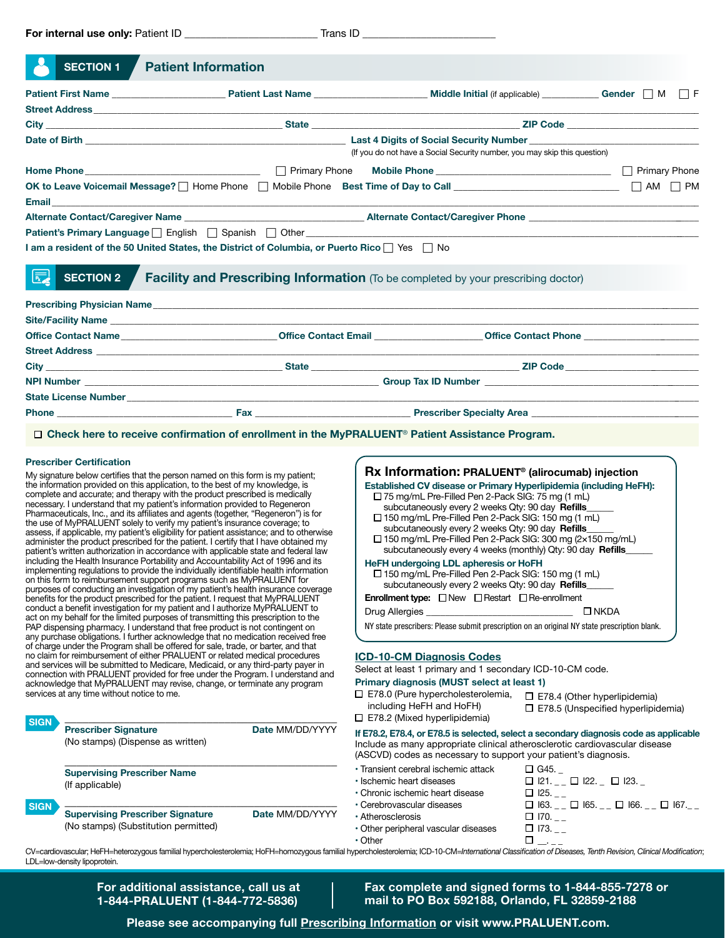| <b>SECTION 1</b>                                                                                                                                                                                                               | <b>Patient Information</b>                                                                                                                                                                                                                                                                                                                                                                                                                                                                                                                                                                                                                                                                                                                                                                                                                                                                                                                                                                                                          |                                                                                                                                                                                                                                                                                                                                                                                                                                                                                                                                                                                                                                                    |  |  |
|--------------------------------------------------------------------------------------------------------------------------------------------------------------------------------------------------------------------------------|-------------------------------------------------------------------------------------------------------------------------------------------------------------------------------------------------------------------------------------------------------------------------------------------------------------------------------------------------------------------------------------------------------------------------------------------------------------------------------------------------------------------------------------------------------------------------------------------------------------------------------------------------------------------------------------------------------------------------------------------------------------------------------------------------------------------------------------------------------------------------------------------------------------------------------------------------------------------------------------------------------------------------------------|----------------------------------------------------------------------------------------------------------------------------------------------------------------------------------------------------------------------------------------------------------------------------------------------------------------------------------------------------------------------------------------------------------------------------------------------------------------------------------------------------------------------------------------------------------------------------------------------------------------------------------------------------|--|--|
|                                                                                                                                                                                                                                |                                                                                                                                                                                                                                                                                                                                                                                                                                                                                                                                                                                                                                                                                                                                                                                                                                                                                                                                                                                                                                     | Middle Initial (if applicable) _______________Gender __ M _ _ F                                                                                                                                                                                                                                                                                                                                                                                                                                                                                                                                                                                    |  |  |
| Street Address and the state of the state of the state of the state of the state of the state of the state of the state of the state of the state of the state of the state of the state of the state of the state of the stat |                                                                                                                                                                                                                                                                                                                                                                                                                                                                                                                                                                                                                                                                                                                                                                                                                                                                                                                                                                                                                                     |                                                                                                                                                                                                                                                                                                                                                                                                                                                                                                                                                                                                                                                    |  |  |
|                                                                                                                                                                                                                                |                                                                                                                                                                                                                                                                                                                                                                                                                                                                                                                                                                                                                                                                                                                                                                                                                                                                                                                                                                                                                                     |                                                                                                                                                                                                                                                                                                                                                                                                                                                                                                                                                                                                                                                    |  |  |
|                                                                                                                                                                                                                                |                                                                                                                                                                                                                                                                                                                                                                                                                                                                                                                                                                                                                                                                                                                                                                                                                                                                                                                                                                                                                                     |                                                                                                                                                                                                                                                                                                                                                                                                                                                                                                                                                                                                                                                    |  |  |
|                                                                                                                                                                                                                                |                                                                                                                                                                                                                                                                                                                                                                                                                                                                                                                                                                                                                                                                                                                                                                                                                                                                                                                                                                                                                                     | (If you do not have a Social Security number, you may skip this question)                                                                                                                                                                                                                                                                                                                                                                                                                                                                                                                                                                          |  |  |
|                                                                                                                                                                                                                                |                                                                                                                                                                                                                                                                                                                                                                                                                                                                                                                                                                                                                                                                                                                                                                                                                                                                                                                                                                                                                                     |                                                                                                                                                                                                                                                                                                                                                                                                                                                                                                                                                                                                                                                    |  |  |
|                                                                                                                                                                                                                                |                                                                                                                                                                                                                                                                                                                                                                                                                                                                                                                                                                                                                                                                                                                                                                                                                                                                                                                                                                                                                                     | OK to Leave Voicemail Message?   Home Phone   Mobile Phone Best Time of Day to Call ___________________________   AM   PM                                                                                                                                                                                                                                                                                                                                                                                                                                                                                                                          |  |  |
| <b>Email</b> Provincial Provincial Provincial                                                                                                                                                                                  |                                                                                                                                                                                                                                                                                                                                                                                                                                                                                                                                                                                                                                                                                                                                                                                                                                                                                                                                                                                                                                     |                                                                                                                                                                                                                                                                                                                                                                                                                                                                                                                                                                                                                                                    |  |  |
|                                                                                                                                                                                                                                |                                                                                                                                                                                                                                                                                                                                                                                                                                                                                                                                                                                                                                                                                                                                                                                                                                                                                                                                                                                                                                     |                                                                                                                                                                                                                                                                                                                                                                                                                                                                                                                                                                                                                                                    |  |  |
|                                                                                                                                                                                                                                | Patient's Primary Language DEnglish DSpanish DOther ____________________________                                                                                                                                                                                                                                                                                                                                                                                                                                                                                                                                                                                                                                                                                                                                                                                                                                                                                                                                                    | the control of the control of the control of the control of the control of the control of                                                                                                                                                                                                                                                                                                                                                                                                                                                                                                                                                          |  |  |
|                                                                                                                                                                                                                                | I am a resident of the 50 United States, the District of Columbia, or Puerto Rico   Yes   ∧o                                                                                                                                                                                                                                                                                                                                                                                                                                                                                                                                                                                                                                                                                                                                                                                                                                                                                                                                        |                                                                                                                                                                                                                                                                                                                                                                                                                                                                                                                                                                                                                                                    |  |  |
| 圜<br><b>SECTION 2</b>                                                                                                                                                                                                          |                                                                                                                                                                                                                                                                                                                                                                                                                                                                                                                                                                                                                                                                                                                                                                                                                                                                                                                                                                                                                                     | Facility and Prescribing Information (To be completed by your prescribing doctor)                                                                                                                                                                                                                                                                                                                                                                                                                                                                                                                                                                  |  |  |
|                                                                                                                                                                                                                                |                                                                                                                                                                                                                                                                                                                                                                                                                                                                                                                                                                                                                                                                                                                                                                                                                                                                                                                                                                                                                                     | Office Contact Name <b>Manual According to the Contact Email Contact Email Contact Phone Contact Phone Contact Phone Contact Phone Contact Phone Contact Phone Contact Phone Contact Phone Contact Phone C</b>                                                                                                                                                                                                                                                                                                                                                                                                                                     |  |  |
|                                                                                                                                                                                                                                |                                                                                                                                                                                                                                                                                                                                                                                                                                                                                                                                                                                                                                                                                                                                                                                                                                                                                                                                                                                                                                     |                                                                                                                                                                                                                                                                                                                                                                                                                                                                                                                                                                                                                                                    |  |  |
|                                                                                                                                                                                                                                |                                                                                                                                                                                                                                                                                                                                                                                                                                                                                                                                                                                                                                                                                                                                                                                                                                                                                                                                                                                                                                     |                                                                                                                                                                                                                                                                                                                                                                                                                                                                                                                                                                                                                                                    |  |  |
|                                                                                                                                                                                                                                |                                                                                                                                                                                                                                                                                                                                                                                                                                                                                                                                                                                                                                                                                                                                                                                                                                                                                                                                                                                                                                     |                                                                                                                                                                                                                                                                                                                                                                                                                                                                                                                                                                                                                                                    |  |  |
|                                                                                                                                                                                                                                |                                                                                                                                                                                                                                                                                                                                                                                                                                                                                                                                                                                                                                                                                                                                                                                                                                                                                                                                                                                                                                     |                                                                                                                                                                                                                                                                                                                                                                                                                                                                                                                                                                                                                                                    |  |  |
|                                                                                                                                                                                                                                |                                                                                                                                                                                                                                                                                                                                                                                                                                                                                                                                                                                                                                                                                                                                                                                                                                                                                                                                                                                                                                     |                                                                                                                                                                                                                                                                                                                                                                                                                                                                                                                                                                                                                                                    |  |  |
|                                                                                                                                                                                                                                | □ Check here to receive confirmation of enrollment in the MyPRALUENT® Patient Assistance Program.                                                                                                                                                                                                                                                                                                                                                                                                                                                                                                                                                                                                                                                                                                                                                                                                                                                                                                                                   |                                                                                                                                                                                                                                                                                                                                                                                                                                                                                                                                                                                                                                                    |  |  |
| <b>Prescriber Certification</b>                                                                                                                                                                                                | My signature below certifies that the person named on this form is my patient;<br>the information provided on this application, to the best of my knowledge, is<br>complete and accurate; and therapy with the product prescribed is medically<br>necessary. I understand that my patient's information provided to Regeneron<br>Pharmaceuticals, Inc., and its affiliates and agents (together, "Regeneron") is for<br>the use of MyPRALUENT solely to verify my patient's insurance coverage; to<br>assess, if applicable, my patient's eligibility for patient assistance; and to otherwise<br>administer the product prescribed for the patient. I certify that I have obtained my<br>patient's written authorization in accordance with applicable state and federal law<br>including the Health Insurance Portability and Accountability Act of 1996 and its<br>implementing regulations to provide the individually identifiable health information<br>on this form to reimbursement support programs such as MyPRALUENT for | Rx Information: PRALUENT <sup>®</sup> (alirocumab) injection<br>Established CV disease or Primary Hyperlipidemia (including HeFH):<br>□ 75 mg/mL Pre-Filled Pen 2-Pack SIG: 75 mg (1 mL)<br>subcutaneously every 2 weeks Qty: 90 day Refills<br>□ 150 mg/mL Pre-Filled Pen 2-Pack SIG: 150 mg (1 mL)<br>subcutaneously every 2 weeks Qty: 90 day Refills<br>□ 150 mg/mL Pre-Filled Pen 2-Pack SIG: 300 mg (2×150 mg/mL)<br>subcutaneously every 4 weeks (monthly) Qty: 90 day Refills_<br>HeFH undergoing LDL apheresis or HoFH<br>□ 150 mg/mL Pre-Filled Pen 2-Pack SIG: 150 mg (1 mL)<br>subcutaneously even (2 weeks Oty: 90 day <b>Pefills</b> |  |  |

□ 150 mg/mL Pre-Filled Pen 2-Pack SIG: 150 mg (1 mL) subcutaneously every 2 weeks Qty: 90 day **Refills**\_\_\_\_\_\_

| <b>Enrollment type:</b> $\Box$ New $\Box$ Restart $\Box$ Re-enrollment |  |  |  |  |
|------------------------------------------------------------------------|--|--|--|--|
|------------------------------------------------------------------------|--|--|--|--|

| $\Box$ NKDA<br><b>Drug Allergies</b> |
|--------------------------------------|
|--------------------------------------|

NY state prescribers: Please submit prescription on an original NY state prescription blank.

#### **ICD-10-CM Diagnosis Codes**

Select at least 1 primary and 1 secondary ICD-10-CM code.

#### **Primary diagnosis (MUST select at least 1)**

| <b>Things</b> and gripping (MOOT beloot at least 17 |                |
|-----------------------------------------------------|----------------|
| $\square$ E78.0 (Pure hypercholesterolemia,         | $\Box$ E78.4 ( |

including HeFH and HoFH) E78.2 (Mixed hyperlipidemia)  $\square$  E78.4 (Other hyperlipidemia) □ E78.5 (Unspecified hyperlipidemia)

 $\Box$  121. \_ \_  $\Box$  122. \_  $\Box$  123. \_

| If E78.2, E78.4, or E78.5 is selected, select a secondary diagnosis code as applicable |
|----------------------------------------------------------------------------------------|
| Include as many appropriate clinical atherosclerotic cardiovascular disease            |
| (ASCVD) codes as necessary to support your patient's diagnosis.                        |

- Transient cerebral ischemic attack  $\Box$  G45. \_<br>• Ischemic heart diseases  $\Box$  I21.
- 
- Chronic ischemic heart disease  $\Box$  125.  $\Box$ <br>• Cerebrovascular diseases  $\Box$  163.  $\Box$
- 
- 
- $\begin{array}{l} \square \, \, \text{I63.} \,\rule{0.03cm}{0.04cm} \square \,\, \square \, \, \text{I65.} \,\rule{0.04cm}{0.04cm} \square \,\, \square \, \, \text{I67.} \,\rule{0.04cm}{0.04cm} \square \, \, \text{I67.} \,\rule{0.04cm}{0.04cm} \square \, \, \text{I70.} \,\rule{0.04cm}{0.04cm} \square \end{array}$ • Atherosclerosis  $\Box$  170.  $\Box$ <br>• Other peripheral vascular diseases  $\Box$  173.  $\Box$ • Other peripheral vascular diseases  $\Box$  173.<br>
• Other  $\Box$ • Other  $\Box$   $\Box$

CV=cardiovascular; HeFH=heterozygous familial hypercholesterolemia; HoFH=homozygous familial hypercholesterolemia; ICD-10-CM=*International Classification of Diseases, Tenth Revision, Clinical Modification*; LDL=low-density lipoprotein.

> **For additional assistance, call us at 1-844-PRALUENT (1-844-772-5836)**

\_\_\_\_\_\_\_\_\_\_\_\_\_\_\_\_\_\_\_\_\_\_\_\_\_\_\_\_\_\_\_\_\_\_\_\_\_\_\_\_\_\_\_\_\_\_ **Prescriber Signature Date MM/DD/YYYY** 

\_\_\_\_\_\_\_\_\_\_\_\_\_\_\_\_\_\_\_\_\_\_\_\_\_\_\_\_\_\_\_\_\_\_\_\_\_\_\_\_\_\_\_\_\_\_

\_\_\_\_\_\_\_\_\_\_\_\_\_\_\_\_\_\_\_\_\_\_\_\_\_\_\_\_\_\_\_\_\_\_\_\_\_\_\_\_\_\_\_\_\_\_ **Supervising Prescriber Signature Date** MM/DD/YYYY

purposes of conducting an investigation of my patient's health insurance coverage benefits for the product prescribed for the patient. I request that MyPRALUENT conduct a benefit investigation for my patient and I authorize MyPRALUENT to act on my behalf for the limited purposes of transmitting this prescription to the PAP dispensing pharmacy. I understand that free product is not contingent on any purchase obligations. I further acknowledge that no medication received free of charge under the Program shall be offered for sale, trade, or barter, and that no claim for reimbursement of either PRALUENT or related medical procedures and services will be submitted to Medicare, Medicaid, or any third-party payer in connection with PRALUENT provided for free under the Program. I understand and acknowledge that MyPRALUENT may revise, change, or terminate any program

services at any time without notice to me.

(If applicable)

**SIGN**

**SIGN**

(No stamps) (Dispense as written)

**Supervising Prescriber Name**

(No stamps) (Substitution permitted)

**Fax complete and signed forms to 1-844-855-7278 or mail to PO Box 592188, Orlando, FL 32859-2188**

**Please see accompanying ful[l Prescribing Information o](https://www.regeneron.com/sites/default/files/Praluent_PI.pdf)r visi[t www.PRALUENT.com.](https://www.PRALUENT.com)**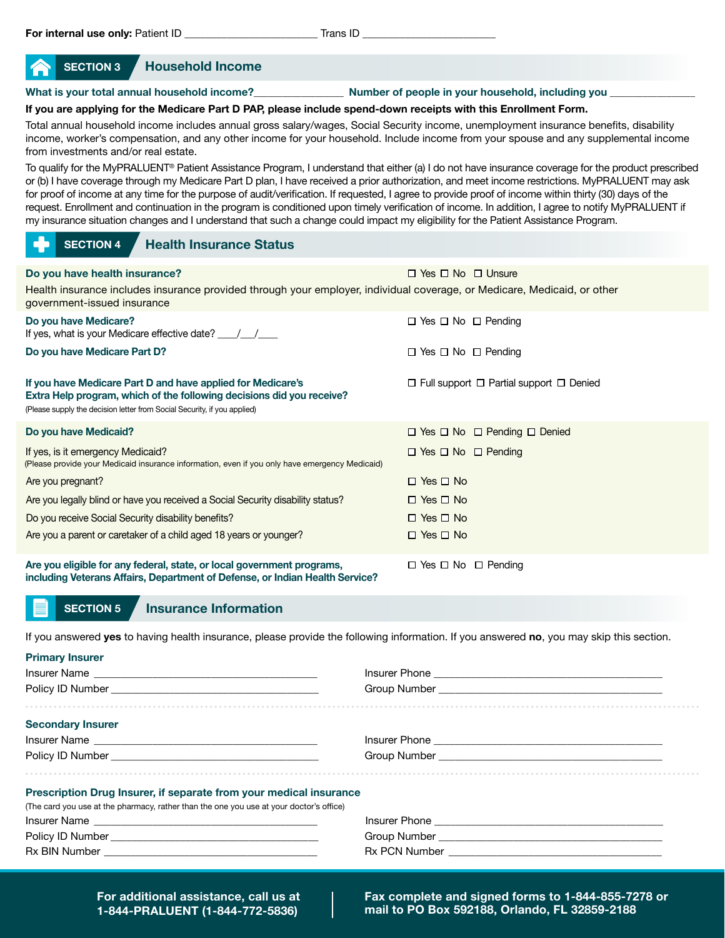| SECTION 3 | <b>Household Income</b> |
|-----------|-------------------------|
|-----------|-------------------------|

#### **What is your total annual household income?**\_\_\_\_\_\_\_\_\_\_\_\_\_\_\_\_\_\_\_ **Number of people in your household, including you** \_\_\_\_\_\_\_\_\_\_\_\_\_\_\_\_\_\_

#### **If you are applying for the Medicare Part D PAP, please include spend-down receipts with this Enrollment Form.**

Total annual household income includes annual gross salary/wages, Social Security income, unemployment insurance benefits, disability income, worker's compensation, and any other income for your household. Include income from your spouse and any supplemental income from investments and/or real estate.

To qualify for the MyPRALUENT® Patient Assistance Program, I understand that either (a) I do not have insurance coverage for the product prescribed or (b) I have coverage through my Medicare Part D plan, I have received a prior authorization, and meet income restrictions. MyPRALUENT may ask for proof of income at any time for the purpose of audit/verification. If requested, I agree to provide proof of income within thirty (30) days of the request. Enrollment and continuation in the program is conditioned upon timely verification of income. In addition, I agree to notify MyPRALUENT if my insurance situation changes and I understand that such a change could impact my eligibility for the Patient Assistance Program.

|  | SECTION 4 | <b>Health Insurance Status</b> |
|--|-----------|--------------------------------|
|--|-----------|--------------------------------|

| Do you have health insurance?                                                                                                                                                                                    | $\Box$ Yes $\Box$ No $\Box$ Unsure                       |
|------------------------------------------------------------------------------------------------------------------------------------------------------------------------------------------------------------------|----------------------------------------------------------|
| Health insurance includes insurance provided through your employer, individual coverage, or Medicare, Medicaid, or other<br>government-issued insurance                                                          |                                                          |
| Do you have Medicare?<br>If yes, what is your Medicare effective date? $\frac{1}{2}$                                                                                                                             | $\Box$ Yes $\Box$ No $\Box$ Pending                      |
| Do you have Medicare Part D?                                                                                                                                                                                     | $\Box$ Yes $\Box$ No $\Box$ Pending                      |
| If you have Medicare Part D and have applied for Medicare's<br>Extra Help program, which of the following decisions did you receive?<br>(Please supply the decision letter from Social Security, if you applied) | $\Box$ Full support $\Box$ Partial support $\Box$ Denied |
| Do you have Medicaid?                                                                                                                                                                                            | $\Box$ Yes $\Box$ No $\Box$ Pending $\Box$ Denied        |
| If yes, is it emergency Medicaid?<br>(Please provide your Medicaid insurance information, even if you only have emergency Medicaid)                                                                              | $\Box$ Yes $\Box$ No $\Box$ Pending                      |
| Are you pregnant?                                                                                                                                                                                                | $\Box$ Yes $\Box$ No                                     |
| Are you legally blind or have you received a Social Security disability status?                                                                                                                                  | $\Box$ Yes $\Box$ No                                     |
| Do you receive Social Security disability benefits?                                                                                                                                                              | $\Box$ Yes $\Box$ No                                     |
| Are you a parent or caretaker of a child aged 18 years or younger?                                                                                                                                               | $\Box$ Yes $\Box$ No                                     |
| Are you eligible for any federal, state, or local government programs,<br>including Veterans Affairs, Department of Defense, or Indian Health Service?                                                           | $\Box$ Yes $\Box$ No $\Box$ Pending                      |

#### **SECTION 5 Insurance Information**

If you answered **yes** to having health insurance, please provide the following information. If you answered **no**, you may skip this section.

| <b>Primary Insurer</b>                                                                  |  |  |  |
|-----------------------------------------------------------------------------------------|--|--|--|
|                                                                                         |  |  |  |
|                                                                                         |  |  |  |
| <br><b>Secondary Insurer</b>                                                            |  |  |  |
|                                                                                         |  |  |  |
|                                                                                         |  |  |  |
| Prescription Drug Insurer, if separate from your medical insurance                      |  |  |  |
| (The card you use at the pharmacy, rather than the one you use at your doctor's office) |  |  |  |
|                                                                                         |  |  |  |
|                                                                                         |  |  |  |
|                                                                                         |  |  |  |
|                                                                                         |  |  |  |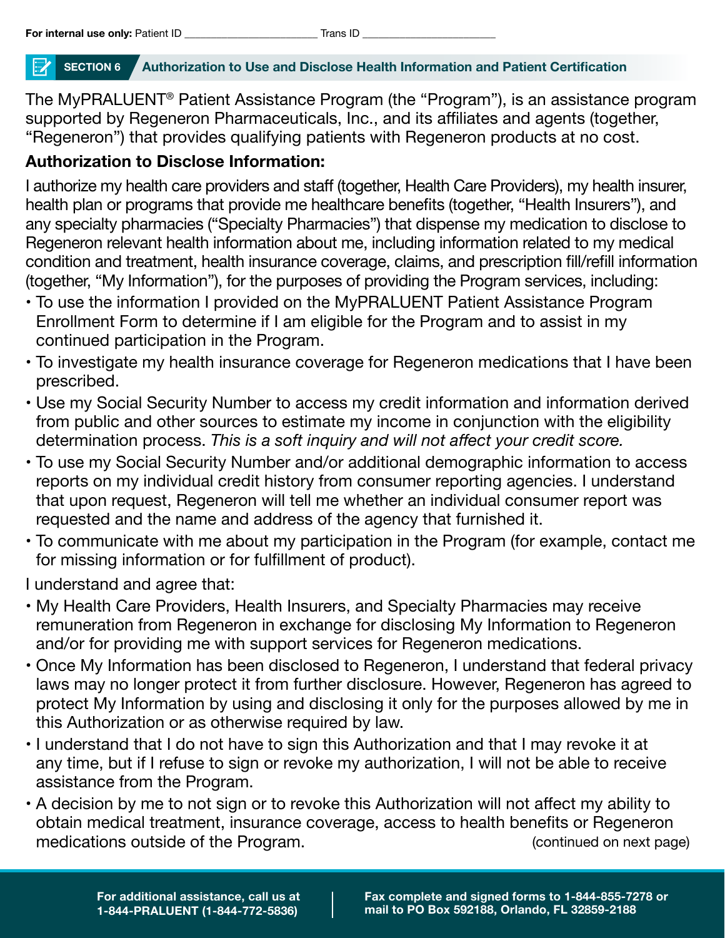## **SECTION 6 Authorization to Use and Disclose Health Information and Patient Certification**

The MyPRALUENT® Patient Assistance Program (the "Program"), is an assistance program supported by Regeneron Pharmaceuticals, Inc., and its affiliates and agents (together, "Regeneron") that provides qualifying patients with Regeneron products at no cost.

# **Authorization to Disclose Information:**

I authorize my health care providers and staff (together, Health Care Providers), my health insurer, health plan or programs that provide me healthcare benefits (together, "Health Insurers"), and any specialty pharmacies ("Specialty Pharmacies") that dispense my medication to disclose to Regeneron relevant health information about me, including information related to my medical condition and treatment, health insurance coverage, claims, and prescription fill/refill information (together, "My Information"), for the purposes of providing the Program services, including:

- To use the information I provided on the MyPRALUENT Patient Assistance Program Enrollment Form to determine if I am eligible for the Program and to assist in my continued participation in the Program.
- To investigate my health insurance coverage for Regeneron medications that I have been prescribed.
- Use my Social Security Number to access my credit information and information derived from public and other sources to estimate my income in conjunction with the eligibility determination process. *This is a soft inquiry and will not affect your credit score.*
- To use my Social Security Number and/or additional demographic information to access reports on my individual credit history from consumer reporting agencies. I understand that upon request, Regeneron will tell me whether an individual consumer report was requested and the name and address of the agency that furnished it.
- To communicate with me about my participation in the Program (for example, contact me for missing information or for fulfillment of product).

I understand and agree that:

- My Health Care Providers, Health Insurers, and Specialty Pharmacies may receive remuneration from Regeneron in exchange for disclosing My Information to Regeneron and/or for providing me with support services for Regeneron medications.
- Once My Information has been disclosed to Regeneron, I understand that federal privacy laws may no longer protect it from further disclosure. However, Regeneron has agreed to protect My Information by using and disclosing it only for the purposes allowed by me in this Authorization or as otherwise required by law.
- I understand that I do not have to sign this Authorization and that I may revoke it at any time, but if I refuse to sign or revoke my authorization, I will not be able to receive assistance from the Program.
- A decision by me to not sign or to revoke this Authorization will not affect my ability to obtain medical treatment, insurance coverage, access to health benefits or Regeneron medications outside of the Program.